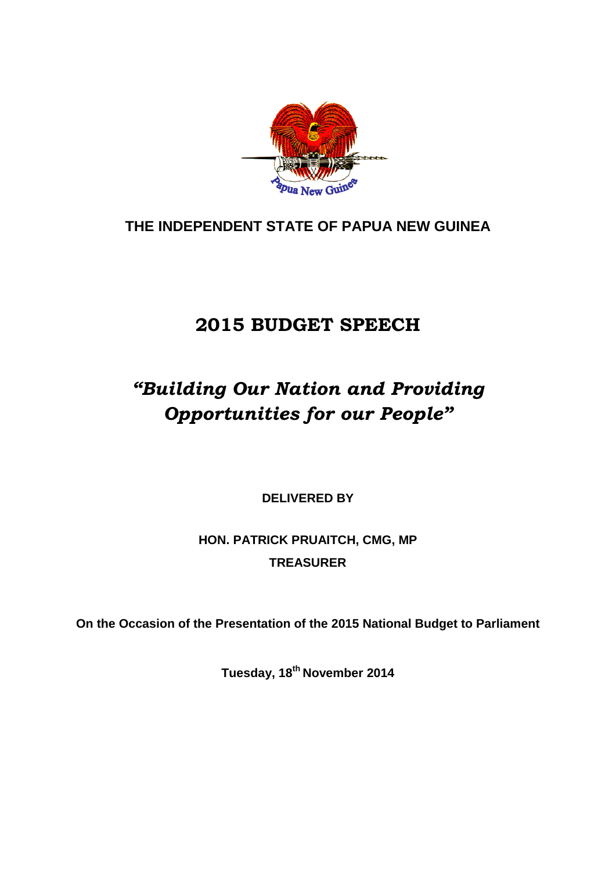

## **THE INDEPENDENT STATE OF PAPUA NEW GUINEA**

# **2015 BUDGET SPEECH**

# *"Building Our Nation and Providing Opportunities for our People"*

**DELIVERED BY**

**HON. PATRICK PRUAITCH, CMG, MP TREASURER**

**On the Occasion of the Presentation of the 2015 National Budget to Parliament**

**Tuesday, 18th November 2014**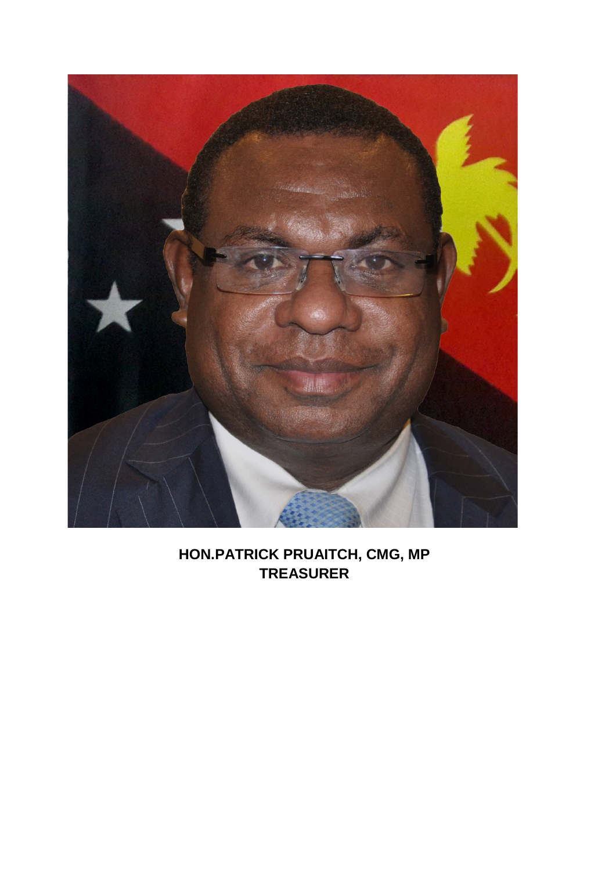

## **HON.PATRICK PRUAITCH, CMG, MP TREASURER**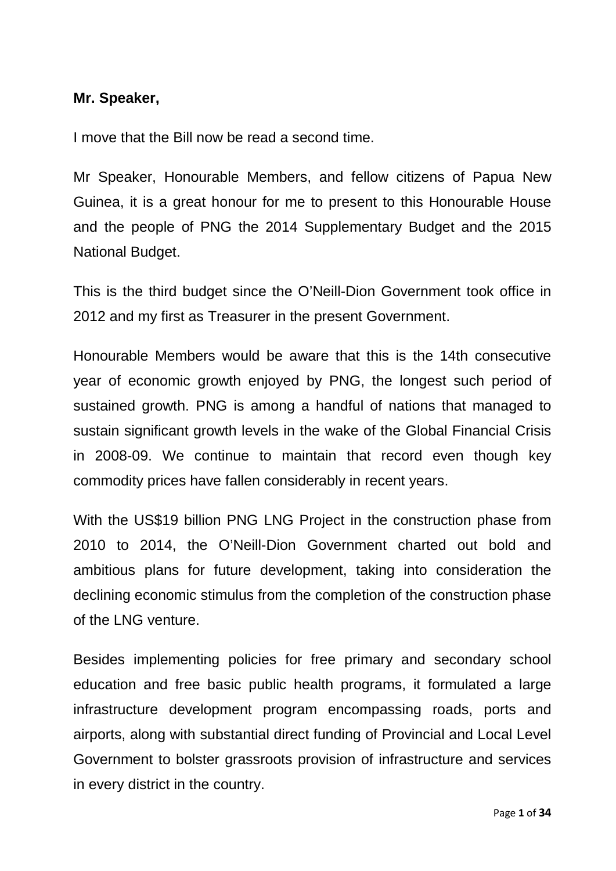#### **Mr. Speaker,**

I move that the Bill now be read a second time.

Mr Speaker, Honourable Members, and fellow citizens of Papua New Guinea, it is a great honour for me to present to this Honourable House and the people of PNG the 2014 Supplementary Budget and the 2015 National Budget.

This is the third budget since the O'Neill-Dion Government took office in 2012 and my first as Treasurer in the present Government.

Honourable Members would be aware that this is the 14th consecutive year of economic growth enjoyed by PNG, the longest such period of sustained growth. PNG is among a handful of nations that managed to sustain significant growth levels in the wake of the Global Financial Crisis in 2008-09. We continue to maintain that record even though key commodity prices have fallen considerably in recent years.

With the US\$19 billion PNG LNG Project in the construction phase from 2010 to 2014, the O'Neill-Dion Government charted out bold and ambitious plans for future development, taking into consideration the declining economic stimulus from the completion of the construction phase of the LNG venture.

Besides implementing policies for free primary and secondary school education and free basic public health programs, it formulated a large infrastructure development program encompassing roads, ports and airports, along with substantial direct funding of Provincial and Local Level Government to bolster grassroots provision of infrastructure and services in every district in the country.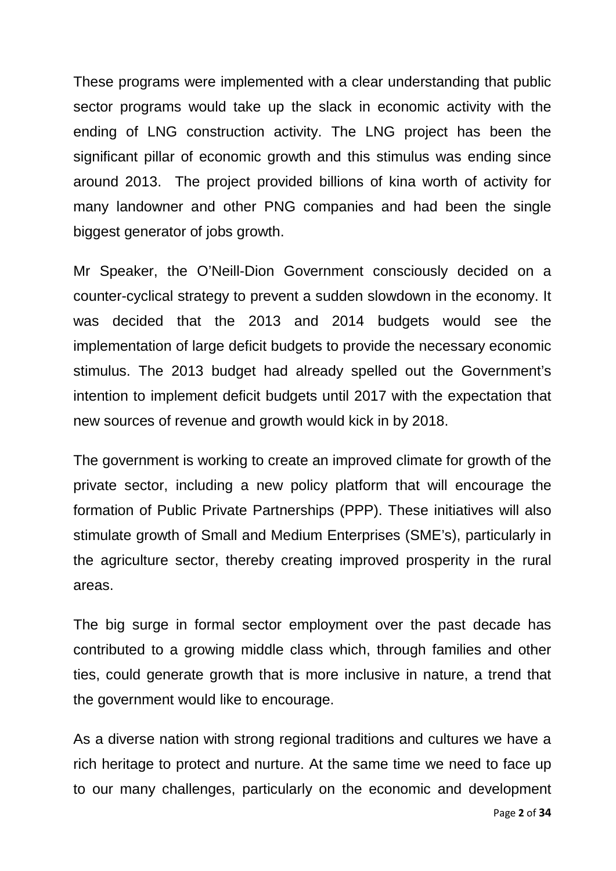These programs were implemented with a clear understanding that public sector programs would take up the slack in economic activity with the ending of LNG construction activity. The LNG project has been the significant pillar of economic growth and this stimulus was ending since around 2013. The project provided billions of kina worth of activity for many landowner and other PNG companies and had been the single biggest generator of jobs growth.

Mr Speaker, the O'Neill-Dion Government consciously decided on a counter-cyclical strategy to prevent a sudden slowdown in the economy. It was decided that the 2013 and 2014 budgets would see the implementation of large deficit budgets to provide the necessary economic stimulus. The 2013 budget had already spelled out the Government's intention to implement deficit budgets until 2017 with the expectation that new sources of revenue and growth would kick in by 2018.

The government is working to create an improved climate for growth of the private sector, including a new policy platform that will encourage the formation of Public Private Partnerships (PPP). These initiatives will also stimulate growth of Small and Medium Enterprises (SME's), particularly in the agriculture sector, thereby creating improved prosperity in the rural areas.

The big surge in formal sector employment over the past decade has contributed to a growing middle class which, through families and other ties, could generate growth that is more inclusive in nature, a trend that the government would like to encourage.

As a diverse nation with strong regional traditions and cultures we have a rich heritage to protect and nurture. At the same time we need to face up to our many challenges, particularly on the economic and development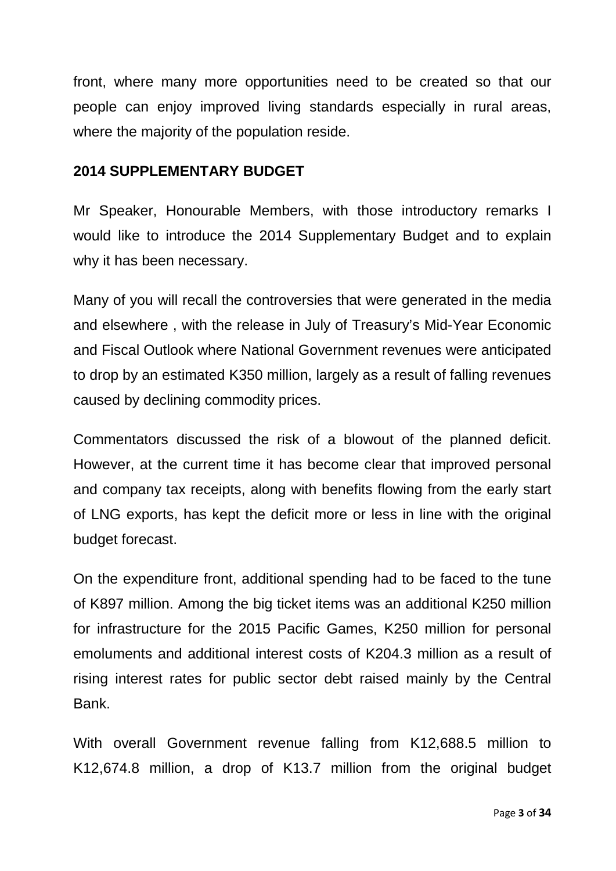front, where many more opportunities need to be created so that our people can enjoy improved living standards especially in rural areas, where the majority of the population reside.

#### **2014 SUPPLEMENTARY BUDGET**

Mr Speaker, Honourable Members, with those introductory remarks I would like to introduce the 2014 Supplementary Budget and to explain why it has been necessary.

Many of you will recall the controversies that were generated in the media and elsewhere , with the release in July of Treasury's Mid-Year Economic and Fiscal Outlook where National Government revenues were anticipated to drop by an estimated K350 million, largely as a result of falling revenues caused by declining commodity prices.

Commentators discussed the risk of a blowout of the planned deficit. However, at the current time it has become clear that improved personal and company tax receipts, along with benefits flowing from the early start of LNG exports, has kept the deficit more or less in line with the original budget forecast.

On the expenditure front, additional spending had to be faced to the tune of K897 million. Among the big ticket items was an additional K250 million for infrastructure for the 2015 Pacific Games, K250 million for personal emoluments and additional interest costs of K204.3 million as a result of rising interest rates for public sector debt raised mainly by the Central Bank.

With overall Government revenue falling from K12,688.5 million to K12,674.8 million, a drop of K13.7 million from the original budget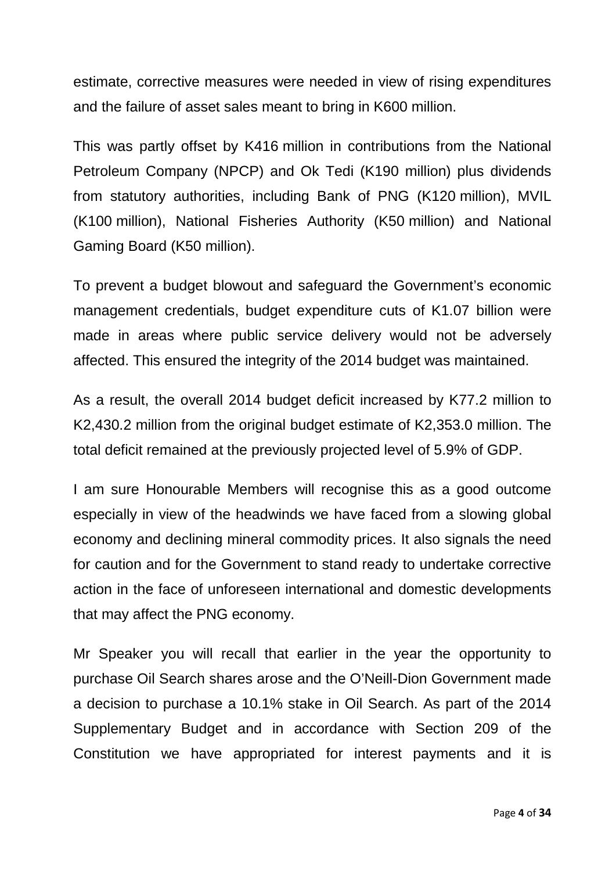estimate, corrective measures were needed in view of rising expenditures and the failure of asset sales meant to bring in K600 million.

This was partly offset by K416 million in contributions from the National Petroleum Company (NPCP) and Ok Tedi (K190 million) plus dividends from statutory authorities, including Bank of PNG (K120 million), MVIL (K100 million), National Fisheries Authority (K50 million) and National Gaming Board (K50 million).

To prevent a budget blowout and safeguard the Government's economic management credentials, budget expenditure cuts of K1.07 billion were made in areas where public service delivery would not be adversely affected. This ensured the integrity of the 2014 budget was maintained.

As a result, the overall 2014 budget deficit increased by K77.2 million to K2,430.2 million from the original budget estimate of K2,353.0 million. The total deficit remained at the previously projected level of 5.9% of GDP.

I am sure Honourable Members will recognise this as a good outcome especially in view of the headwinds we have faced from a slowing global economy and declining mineral commodity prices. It also signals the need for caution and for the Government to stand ready to undertake corrective action in the face of unforeseen international and domestic developments that may affect the PNG economy.

Mr Speaker you will recall that earlier in the year the opportunity to purchase Oil Search shares arose and the O'Neill-Dion Government made a decision to purchase a 10.1% stake in Oil Search. As part of the 2014 Supplementary Budget and in accordance with Section 209 of the Constitution we have appropriated for interest payments and it is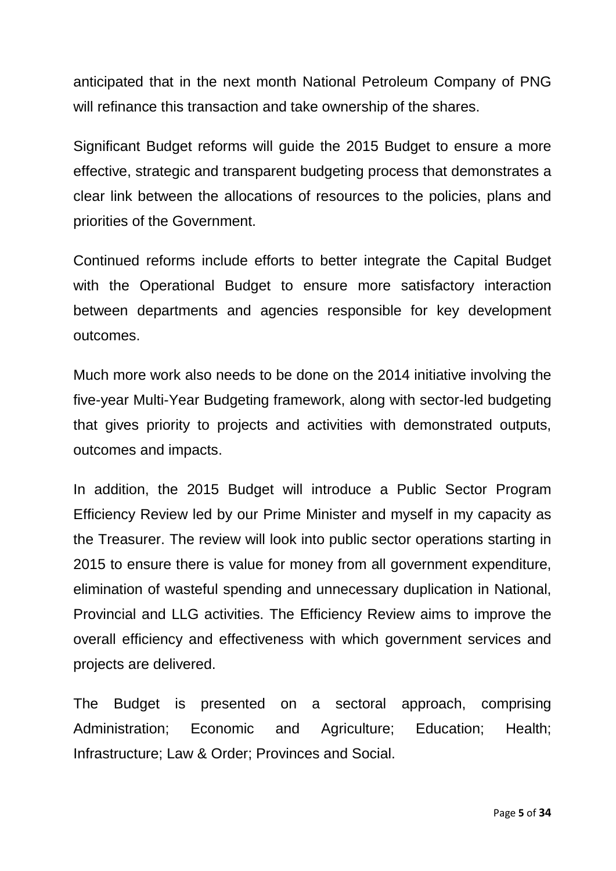anticipated that in the next month National Petroleum Company of PNG will refinance this transaction and take ownership of the shares.

Significant Budget reforms will guide the 2015 Budget to ensure a more effective, strategic and transparent budgeting process that demonstrates a clear link between the allocations of resources to the policies, plans and priorities of the Government.

Continued reforms include efforts to better integrate the Capital Budget with the Operational Budget to ensure more satisfactory interaction between departments and agencies responsible for key development outcomes.

Much more work also needs to be done on the 2014 initiative involving the five-year Multi-Year Budgeting framework, along with sector-led budgeting that gives priority to projects and activities with demonstrated outputs, outcomes and impacts.

In addition, the 2015 Budget will introduce a Public Sector Program Efficiency Review led by our Prime Minister and myself in my capacity as the Treasurer. The review will look into public sector operations starting in 2015 to ensure there is value for money from all government expenditure, elimination of wasteful spending and unnecessary duplication in National, Provincial and LLG activities. The Efficiency Review aims to improve the overall efficiency and effectiveness with which government services and projects are delivered.

The Budget is presented on a sectoral approach, comprising Administration; Economic and Agriculture; Education; Health; Infrastructure; Law & Order; Provinces and Social.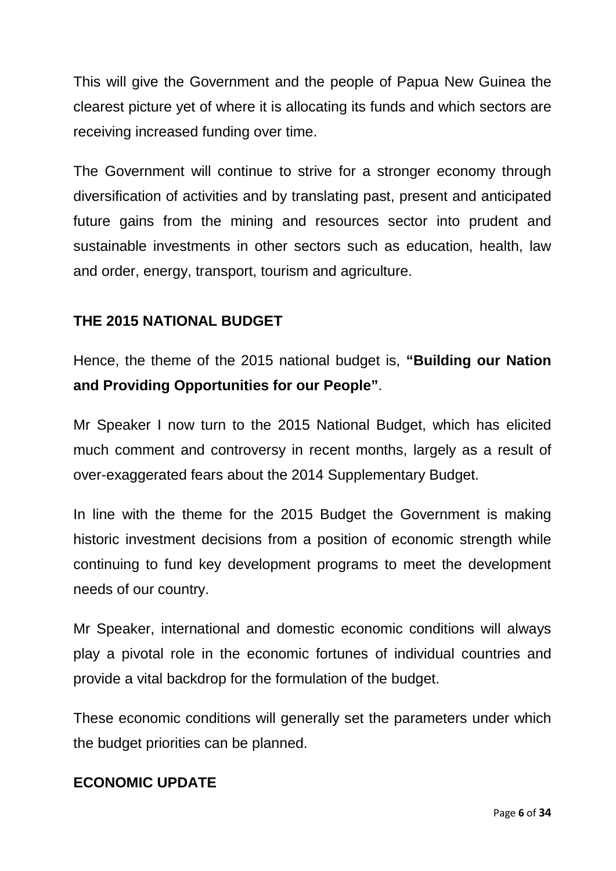This will give the Government and the people of Papua New Guinea the clearest picture yet of where it is allocating its funds and which sectors are receiving increased funding over time.

The Government will continue to strive for a stronger economy through diversification of activities and by translating past, present and anticipated future gains from the mining and resources sector into prudent and sustainable investments in other sectors such as education, health, law and order, energy, transport, tourism and agriculture.

### **THE 2015 NATIONAL BUDGET**

Hence, the theme of the 2015 national budget is, **"Building our Nation and Providing Opportunities for our People"**.

Mr Speaker I now turn to the 2015 National Budget, which has elicited much comment and controversy in recent months, largely as a result of over-exaggerated fears about the 2014 Supplementary Budget.

In line with the theme for the 2015 Budget the Government is making historic investment decisions from a position of economic strength while continuing to fund key development programs to meet the development needs of our country.

Mr Speaker, international and domestic economic conditions will always play a pivotal role in the economic fortunes of individual countries and provide a vital backdrop for the formulation of the budget.

These economic conditions will generally set the parameters under which the budget priorities can be planned.

#### **ECONOMIC UPDATE**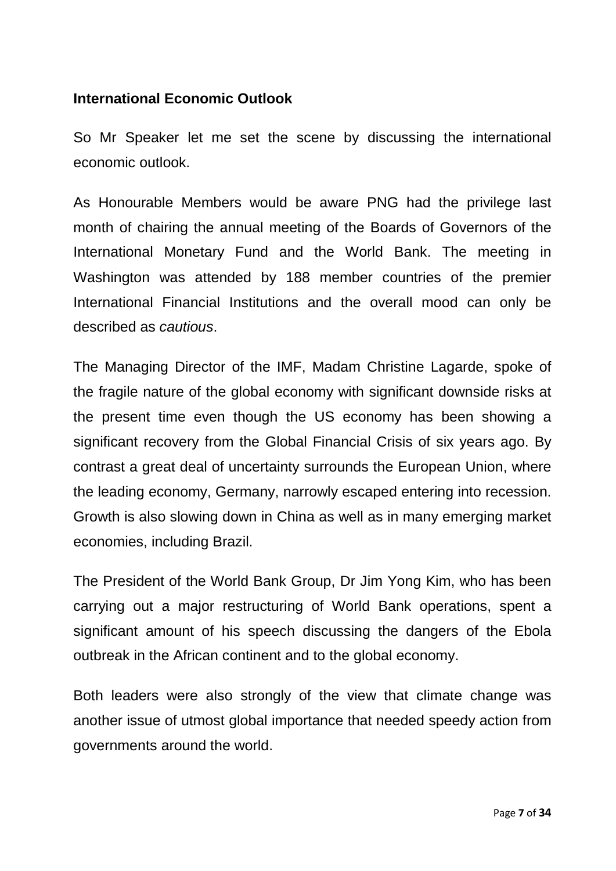#### **International Economic Outlook**

So Mr Speaker let me set the scene by discussing the international economic outlook.

As Honourable Members would be aware PNG had the privilege last month of chairing the annual meeting of the Boards of Governors of the International Monetary Fund and the World Bank. The meeting in Washington was attended by 188 member countries of the premier International Financial Institutions and the overall mood can only be described as *cautious*.

The Managing Director of the IMF, Madam Christine Lagarde, spoke of the fragile nature of the global economy with significant downside risks at the present time even though the US economy has been showing a significant recovery from the Global Financial Crisis of six years ago. By contrast a great deal of uncertainty surrounds the European Union, where the leading economy, Germany, narrowly escaped entering into recession. Growth is also slowing down in China as well as in many emerging market economies, including Brazil.

The President of the World Bank Group, Dr Jim Yong Kim, who has been carrying out a major restructuring of World Bank operations, spent a significant amount of his speech discussing the dangers of the Ebola outbreak in the African continent and to the global economy.

Both leaders were also strongly of the view that climate change was another issue of utmost global importance that needed speedy action from governments around the world.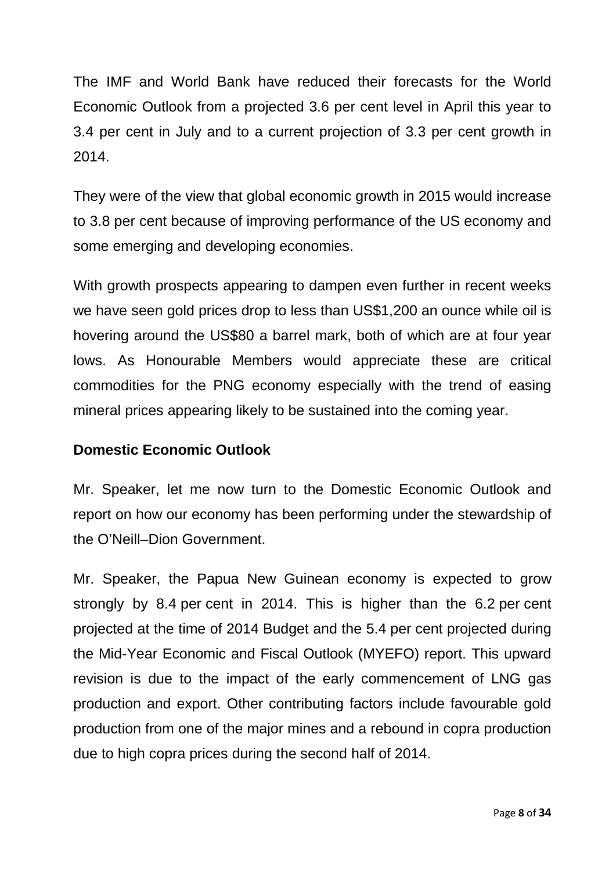The IMF and World Bank have reduced their forecasts for the World Economic Outlook from a projected 3.6 per cent level in April this year to 3.4 per cent in July and to a current projection of 3.3 per cent growth in 2014.

They were of the view that global economic growth in 2015 would increase to 3.8 per cent because of improving performance of the US economy and some emerging and developing economies.

With growth prospects appearing to dampen even further in recent weeks we have seen gold prices drop to less than US\$1,200 an ounce while oil is hovering around the US\$80 a barrel mark, both of which are at four year lows. As Honourable Members would appreciate these are critical commodities for the PNG economy especially with the trend of easing mineral prices appearing likely to be sustained into the coming year.

### **Domestic Economic Outlook**

Mr. Speaker, let me now turn to the Domestic Economic Outlook and report on how our economy has been performing under the stewardship of the O'Neill–Dion Government.

Mr. Speaker, the Papua New Guinean economy is expected to grow strongly by 8.4 per cent in 2014. This is higher than the 6.2 per cent projected at the time of 2014 Budget and the 5.4 per cent projected during the Mid-Year Economic and Fiscal Outlook (MYEFO) report. This upward revision is due to the impact of the early commencement of LNG gas production and export. Other contributing factors include favourable gold production from one of the major mines and a rebound in copra production due to high copra prices during the second half of 2014.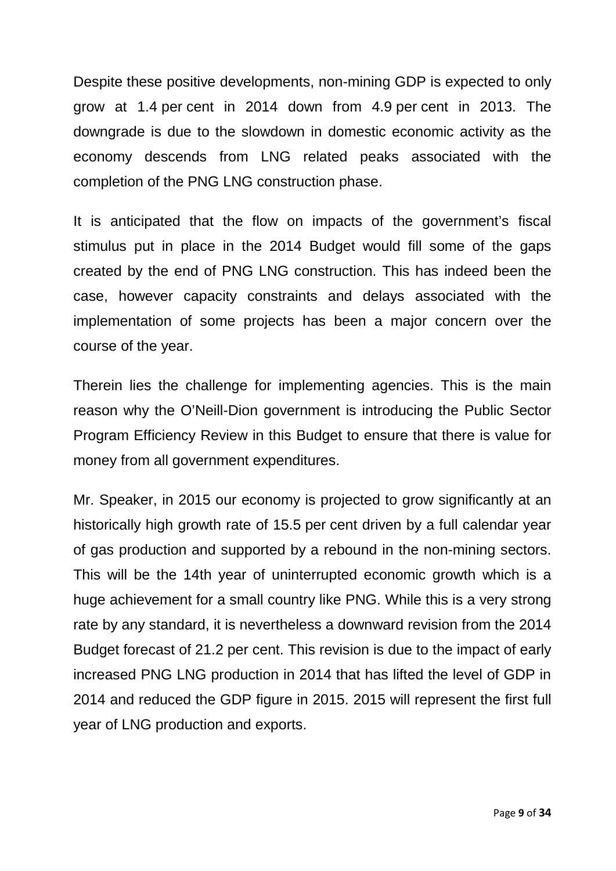Despite these positive developments, non-mining GDP is expected to only grow at 1.4 per cent in 2014 down from 4.9 per cent in 2013. The downgrade is due to the slowdown in domestic economic activity as the economy descends from LNG related peaks associated with the completion of the PNG LNG construction phase.

It is anticipated that the flow on impacts of the government's fiscal stimulus put in place in the 2014 Budget would fill some of the gaps created by the end of PNG LNG construction. This has indeed been the case, however capacity constraints and delays associated with the implementation of some projects has been a major concern over the course of the year.

Therein lies the challenge for implementing agencies. This is the main reason why the O'Neill-Dion government is introducing the Public Sector Program Efficiency Review in this Budget to ensure that there is value for money from all government expenditures.

Mr. Speaker, in 2015 our economy is projected to grow significantly at an historically high growth rate of 15.5 per cent driven by a full calendar year of gas production and supported by a rebound in the non-mining sectors. This will be the 14th year of uninterrupted economic growth which is a huge achievement for a small country like PNG. While this is a very strong rate by any standard, it is nevertheless a downward revision from the 2014 Budget forecast of 21.2 per cent. This revision is due to the impact of early increased PNG LNG production in 2014 that has lifted the level of GDP in 2014 and reduced the GDP figure in 2015. 2015 will represent the first full year of LNG production and exports.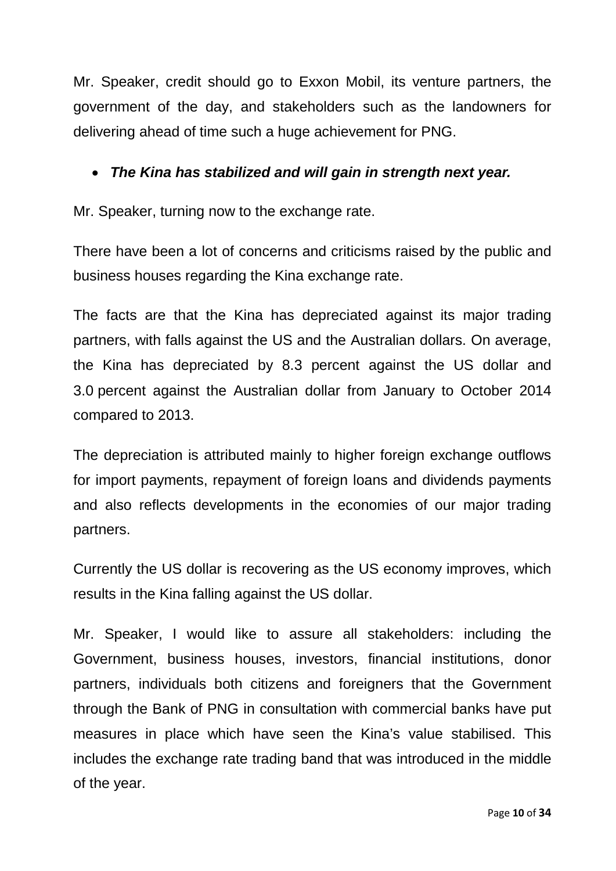Mr. Speaker, credit should go to Exxon Mobil, its venture partners, the government of the day, and stakeholders such as the landowners for delivering ahead of time such a huge achievement for PNG.

### • *The Kina has stabilized and will gain in strength next year.*

Mr. Speaker, turning now to the exchange rate.

There have been a lot of concerns and criticisms raised by the public and business houses regarding the Kina exchange rate.

The facts are that the Kina has depreciated against its major trading partners, with falls against the US and the Australian dollars. On average, the Kina has depreciated by 8.3 percent against the US dollar and 3.0 percent against the Australian dollar from January to October 2014 compared to 2013.

The depreciation is attributed mainly to higher foreign exchange outflows for import payments, repayment of foreign loans and dividends payments and also reflects developments in the economies of our major trading partners.

Currently the US dollar is recovering as the US economy improves, which results in the Kina falling against the US dollar.

Mr. Speaker, I would like to assure all stakeholders: including the Government, business houses, investors, financial institutions, donor partners, individuals both citizens and foreigners that the Government through the Bank of PNG in consultation with commercial banks have put measures in place which have seen the Kina's value stabilised. This includes the exchange rate trading band that was introduced in the middle of the year.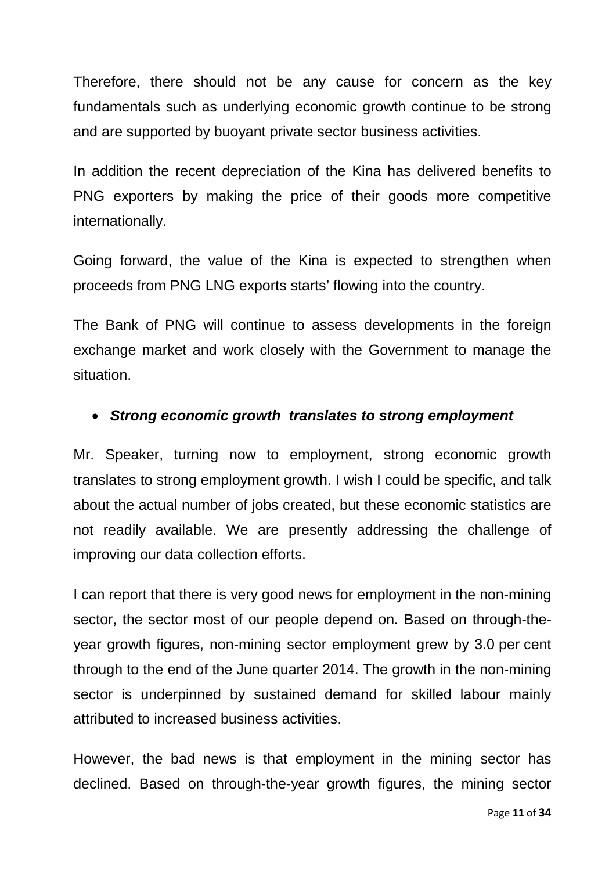Therefore, there should not be any cause for concern as the key fundamentals such as underlying economic growth continue to be strong and are supported by buoyant private sector business activities.

In addition the recent depreciation of the Kina has delivered benefits to PNG exporters by making the price of their goods more competitive internationally.

Going forward, the value of the Kina is expected to strengthen when proceeds from PNG LNG exports starts' flowing into the country.

The Bank of PNG will continue to assess developments in the foreign exchange market and work closely with the Government to manage the situation.

#### • *Strong economic growth translates to strong employment*

Mr. Speaker, turning now to employment, strong economic growth translates to strong employment growth. I wish I could be specific, and talk about the actual number of jobs created, but these economic statistics are not readily available. We are presently addressing the challenge of improving our data collection efforts.

I can report that there is very good news for employment in the non-mining sector, the sector most of our people depend on. Based on through-theyear growth figures, non-mining sector employment grew by 3.0 per cent through to the end of the June quarter 2014. The growth in the non-mining sector is underpinned by sustained demand for skilled labour mainly attributed to increased business activities.

However, the bad news is that employment in the mining sector has declined. Based on through-the-year growth figures, the mining sector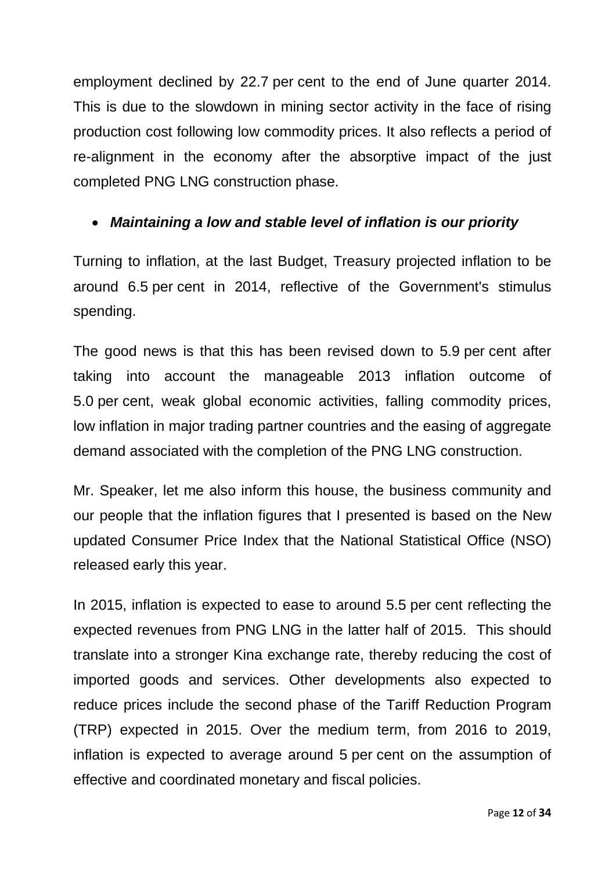employment declined by 22.7 per cent to the end of June quarter 2014. This is due to the slowdown in mining sector activity in the face of rising production cost following low commodity prices. It also reflects a period of re-alignment in the economy after the absorptive impact of the just completed PNG LNG construction phase.

### • *Maintaining a low and stable level of inflation is our priority*

Turning to inflation, at the last Budget, Treasury projected inflation to be around 6.5 per cent in 2014, reflective of the Government's stimulus spending.

The good news is that this has been revised down to 5.9 per cent after taking into account the manageable 2013 inflation outcome of 5.0 per cent, weak global economic activities, falling commodity prices, low inflation in major trading partner countries and the easing of aggregate demand associated with the completion of the PNG LNG construction.

Mr. Speaker, let me also inform this house, the business community and our people that the inflation figures that I presented is based on the New updated Consumer Price Index that the National Statistical Office (NSO) released early this year.

In 2015, inflation is expected to ease to around 5.5 per cent reflecting the expected revenues from PNG LNG in the latter half of 2015. This should translate into a stronger Kina exchange rate, thereby reducing the cost of imported goods and services. Other developments also expected to reduce prices include the second phase of the Tariff Reduction Program (TRP) expected in 2015. Over the medium term, from 2016 to 2019, inflation is expected to average around 5 per cent on the assumption of effective and coordinated monetary and fiscal policies.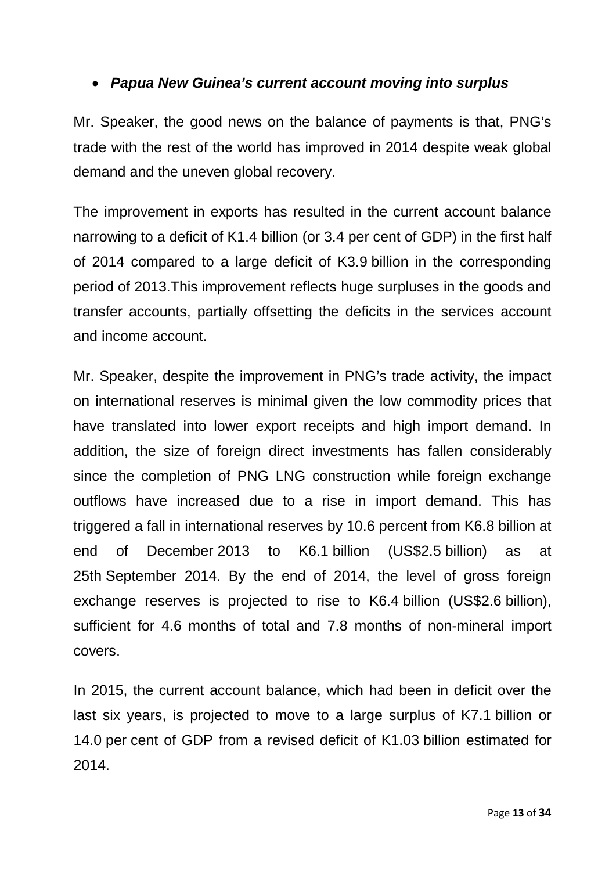### • *Papua New Guinea's current account moving into surplus*

Mr. Speaker, the good news on the balance of payments is that, PNG's trade with the rest of the world has improved in 2014 despite weak global demand and the uneven global recovery.

The improvement in exports has resulted in the current account balance narrowing to a deficit of K1.4 billion (or 3.4 per cent of GDP) in the first half of 2014 compared to a large deficit of K3.9 billion in the corresponding period of 2013.This improvement reflects huge surpluses in the goods and transfer accounts, partially offsetting the deficits in the services account and income account.

Mr. Speaker, despite the improvement in PNG's trade activity, the impact on international reserves is minimal given the low commodity prices that have translated into lower export receipts and high import demand. In addition, the size of foreign direct investments has fallen considerably since the completion of PNG LNG construction while foreign exchange outflows have increased due to a rise in import demand. This has triggered a fall in international reserves by 10.6 percent from K6.8 billion at end of December 2013 to K6.1 billion (US\$2.5 billion) as at 25th September 2014. By the end of 2014, the level of gross foreign exchange reserves is projected to rise to K6.4 billion (US\$2.6 billion), sufficient for 4.6 months of total and 7.8 months of non-mineral import covers.

In 2015, the current account balance, which had been in deficit over the last six years, is projected to move to a large surplus of K7.1 billion or 14.0 per cent of GDP from a revised deficit of K1.03 billion estimated for 2014.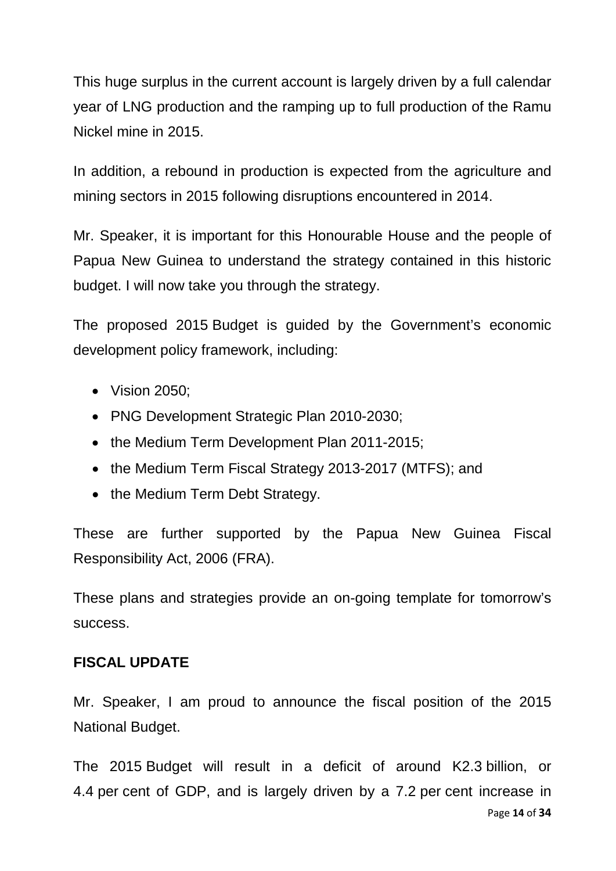This huge surplus in the current account is largely driven by a full calendar year of LNG production and the ramping up to full production of the Ramu Nickel mine in 2015.

In addition, a rebound in production is expected from the agriculture and mining sectors in 2015 following disruptions encountered in 2014.

Mr. Speaker, it is important for this Honourable House and the people of Papua New Guinea to understand the strategy contained in this historic budget. I will now take you through the strategy.

The proposed 2015 Budget is guided by the Government's economic development policy framework, including:

- Vision 2050:
- PNG Development Strategic Plan 2010-2030;
- the Medium Term Development Plan 2011-2015;
- the Medium Term Fiscal Strategy 2013-2017 (MTFS); and
- the Medium Term Debt Strategy.

These are further supported by the Papua New Guinea Fiscal Responsibility Act, 2006 (FRA).

These plans and strategies provide an on-going template for tomorrow's success.

### **FISCAL UPDATE**

Mr. Speaker, I am proud to announce the fiscal position of the 2015 National Budget.

The 2015 Budget will result in a deficit of around K2.3 billion, or 4.4 per cent of GDP, and is largely driven by a 7.2 per cent increase in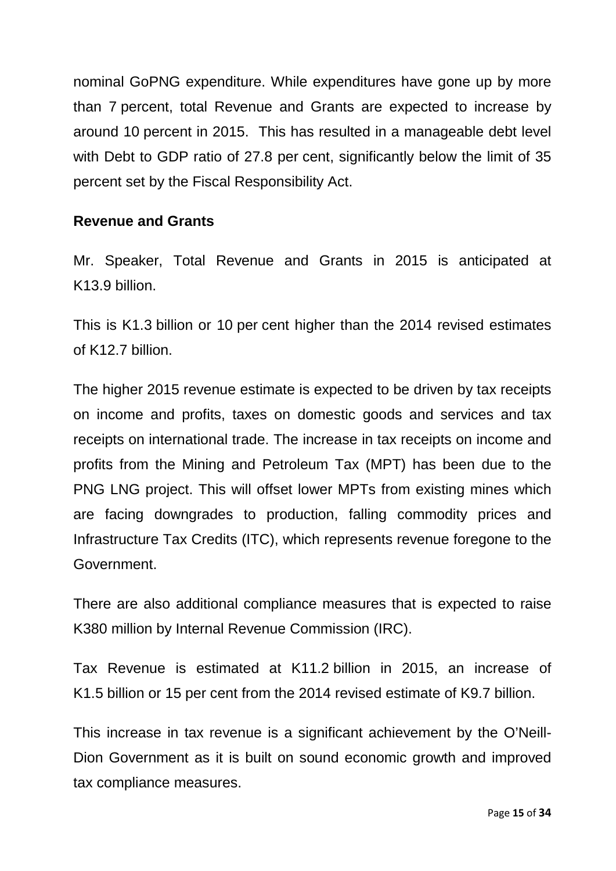nominal GoPNG expenditure. While expenditures have gone up by more than 7 percent, total Revenue and Grants are expected to increase by around 10 percent in 2015. This has resulted in a manageable debt level with Debt to GDP ratio of 27.8 per cent, significantly below the limit of 35 percent set by the Fiscal Responsibility Act.

#### **Revenue and Grants**

Mr. Speaker, Total Revenue and Grants in 2015 is anticipated at K13.9 billion.

This is K1.3 billion or 10 per cent higher than the 2014 revised estimates of K12.7 billion.

The higher 2015 revenue estimate is expected to be driven by tax receipts on income and profits, taxes on domestic goods and services and tax receipts on international trade. The increase in tax receipts on income and profits from the Mining and Petroleum Tax (MPT) has been due to the PNG LNG project. This will offset lower MPTs from existing mines which are facing downgrades to production, falling commodity prices and Infrastructure Tax Credits (ITC), which represents revenue foregone to the Government.

There are also additional compliance measures that is expected to raise K380 million by Internal Revenue Commission (IRC).

Tax Revenue is estimated at K11.2 billion in 2015, an increase of K1.5 billion or 15 per cent from the 2014 revised estimate of K9.7 billion.

This increase in tax revenue is a significant achievement by the O'Neill-Dion Government as it is built on sound economic growth and improved tax compliance measures.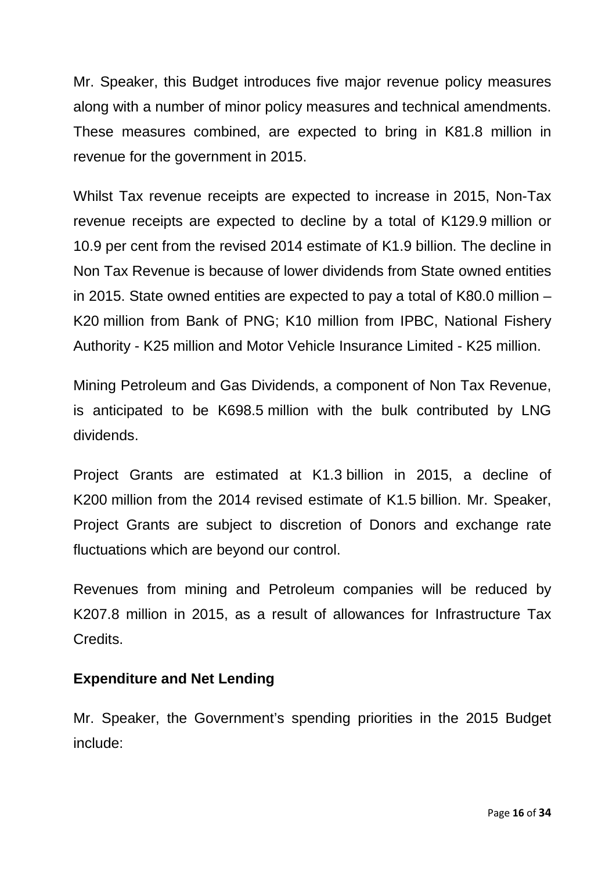Mr. Speaker, this Budget introduces five major revenue policy measures along with a number of minor policy measures and technical amendments. These measures combined, are expected to bring in K81.8 million in revenue for the government in 2015.

Whilst Tax revenue receipts are expected to increase in 2015, Non-Tax revenue receipts are expected to decline by a total of K129.9 million or 10.9 per cent from the revised 2014 estimate of K1.9 billion. The decline in Non Tax Revenue is because of lower dividends from State owned entities in 2015. State owned entities are expected to pay a total of K80.0 million – K20 million from Bank of PNG; K10 million from IPBC, National Fishery Authority - K25 million and Motor Vehicle Insurance Limited - K25 million.

Mining Petroleum and Gas Dividends, a component of Non Tax Revenue, is anticipated to be K698.5 million with the bulk contributed by LNG dividends.

Project Grants are estimated at K1.3 billion in 2015, a decline of K200 million from the 2014 revised estimate of K1.5 billion. Mr. Speaker, Project Grants are subject to discretion of Donors and exchange rate fluctuations which are beyond our control.

Revenues from mining and Petroleum companies will be reduced by K207.8 million in 2015, as a result of allowances for Infrastructure Tax Credits.

#### **Expenditure and Net Lending**

Mr. Speaker, the Government's spending priorities in the 2015 Budget include: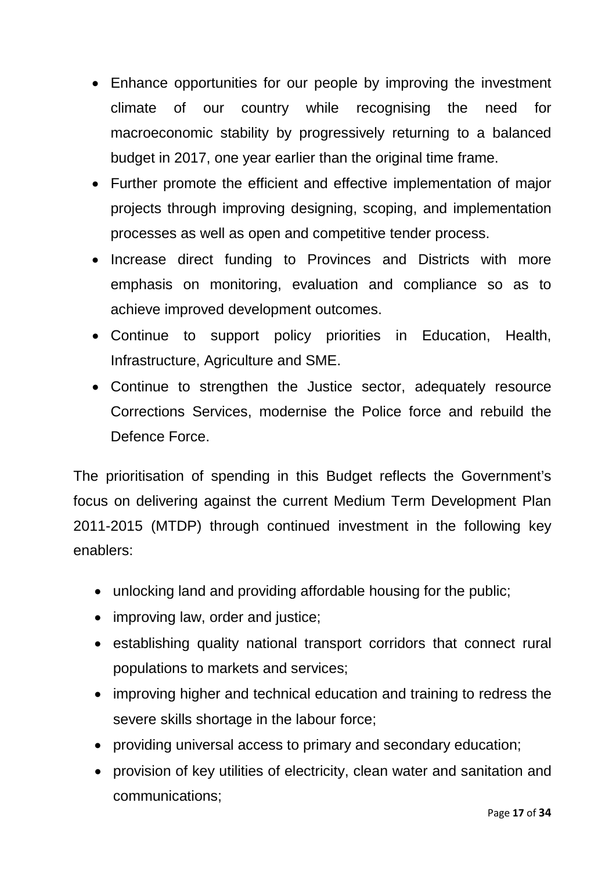- Enhance opportunities for our people by improving the investment climate of our country while recognising the need for macroeconomic stability by progressively returning to a balanced budget in 2017, one year earlier than the original time frame.
- Further promote the efficient and effective implementation of major projects through improving designing, scoping, and implementation processes as well as open and competitive tender process.
- Increase direct funding to Provinces and Districts with more emphasis on monitoring, evaluation and compliance so as to achieve improved development outcomes.
- Continue to support policy priorities in Education, Health, Infrastructure, Agriculture and SME.
- Continue to strengthen the Justice sector, adequately resource Corrections Services, modernise the Police force and rebuild the Defence Force.

The prioritisation of spending in this Budget reflects the Government's focus on delivering against the current Medium Term Development Plan 2011-2015 (MTDP) through continued investment in the following key enablers:

- unlocking land and providing affordable housing for the public;
- improving law, order and justice;
- establishing quality national transport corridors that connect rural populations to markets and services;
- improving higher and technical education and training to redress the severe skills shortage in the labour force;
- providing universal access to primary and secondary education;
- provision of key utilities of electricity, clean water and sanitation and communications;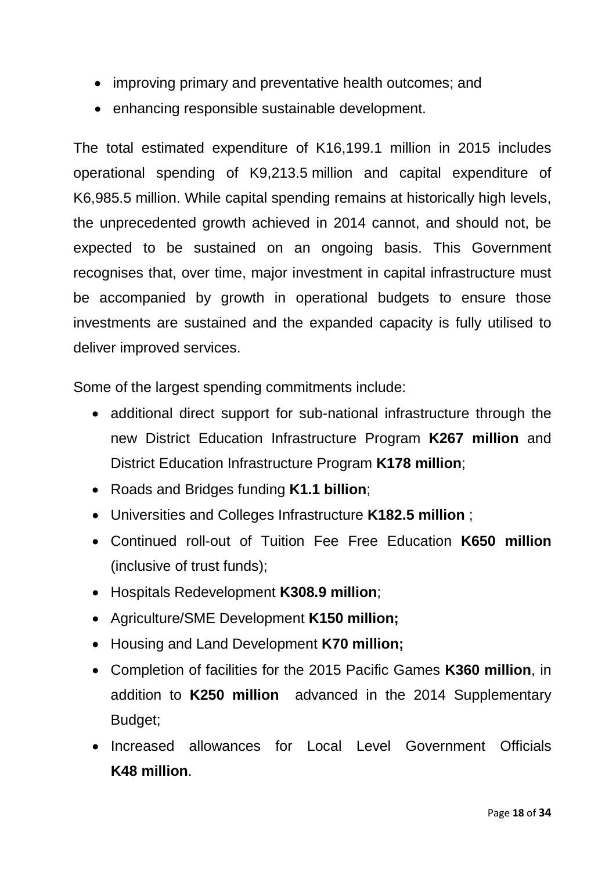- improving primary and preventative health outcomes; and
- enhancing responsible sustainable development.

The total estimated expenditure of K16,199.1 million in 2015 includes operational spending of K9,213.5 million and capital expenditure of K6,985.5 million. While capital spending remains at historically high levels, the unprecedented growth achieved in 2014 cannot, and should not, be expected to be sustained on an ongoing basis. This Government recognises that, over time, major investment in capital infrastructure must be accompanied by growth in operational budgets to ensure those investments are sustained and the expanded capacity is fully utilised to deliver improved services.

Some of the largest spending commitments include:

- additional direct support for sub-national infrastructure through the new District Education Infrastructure Program **K267 million** and District Education Infrastructure Program **K178 million**;
- Roads and Bridges funding **K1.1 billion**;
- Universities and Colleges Infrastructure **K182.5 million** ;
- Continued roll-out of Tuition Fee Free Education **K650 million** (inclusive of trust funds);
- Hospitals Redevelopment **K308.9 million**;
- Agriculture/SME Development **K150 million;**
- Housing and Land Development **K70 million;**
- Completion of facilities for the 2015 Pacific Games **K360 million**, in addition to **K250 million** advanced in the 2014 Supplementary Budget;
- Increased allowances for Local Level Government Officials **K48 million**.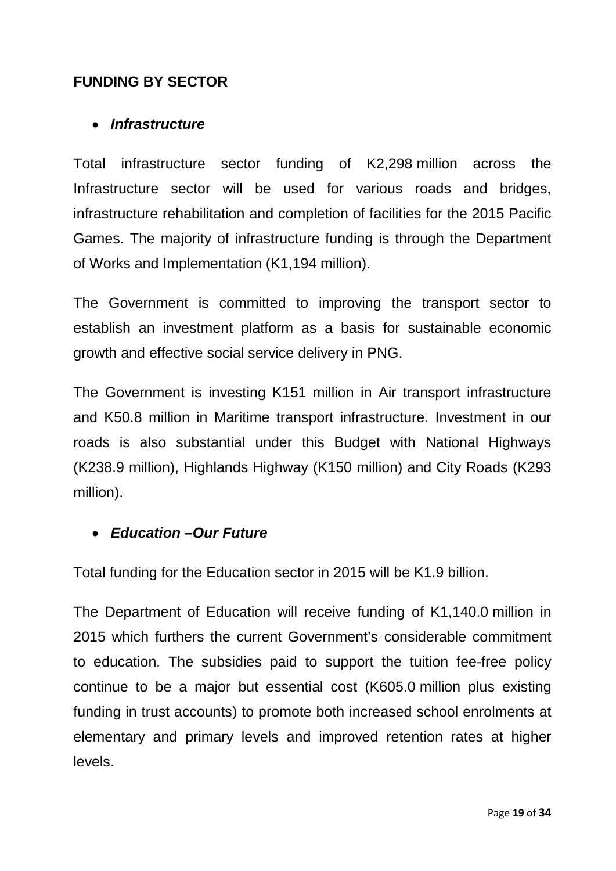### **FUNDING BY SECTOR**

#### • *Infrastructure*

Total infrastructure sector funding of K2,298 million across the Infrastructure sector will be used for various roads and bridges, infrastructure rehabilitation and completion of facilities for the 2015 Pacific Games. The majority of infrastructure funding is through the Department of Works and Implementation (K1,194 million).

The Government is committed to improving the transport sector to establish an investment platform as a basis for sustainable economic growth and effective social service delivery in PNG.

The Government is investing K151 million in Air transport infrastructure and K50.8 million in Maritime transport infrastructure. Investment in our roads is also substantial under this Budget with National Highways (K238.9 million), Highlands Highway (K150 million) and City Roads (K293 million).

### • *Education –Our Future*

Total funding for the Education sector in 2015 will be K1.9 billion.

The Department of Education will receive funding of K1,140.0 million in 2015 which furthers the current Government's considerable commitment to education. The subsidies paid to support the tuition fee-free policy continue to be a major but essential cost (K605.0 million plus existing funding in trust accounts) to promote both increased school enrolments at elementary and primary levels and improved retention rates at higher levels.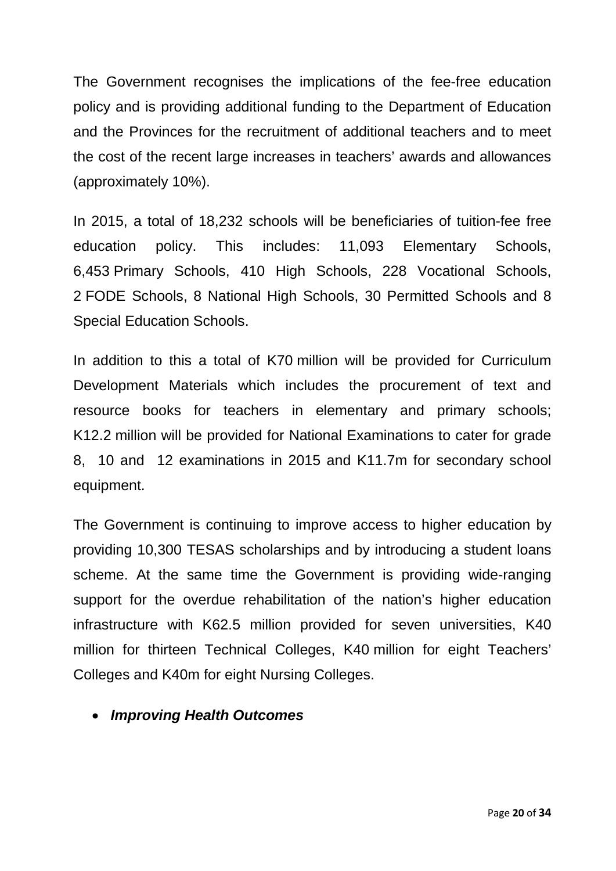The Government recognises the implications of the fee-free education policy and is providing additional funding to the Department of Education and the Provinces for the recruitment of additional teachers and to meet the cost of the recent large increases in teachers' awards and allowances (approximately 10%).

In 2015, a total of 18,232 schools will be beneficiaries of tuition-fee free education policy. This includes: 11,093 Elementary Schools, 6,453 Primary Schools, 410 High Schools, 228 Vocational Schools, 2 FODE Schools, 8 National High Schools, 30 Permitted Schools and 8 Special Education Schools.

In addition to this a total of K70 million will be provided for Curriculum Development Materials which includes the procurement of text and resource books for teachers in elementary and primary schools; K12.2 million will be provided for National Examinations to cater for grade 8, 10 and 12 examinations in 2015 and K11.7m for secondary school equipment.

The Government is continuing to improve access to higher education by providing 10,300 TESAS scholarships and by introducing a student loans scheme. At the same time the Government is providing wide-ranging support for the overdue rehabilitation of the nation's higher education infrastructure with K62.5 million provided for seven universities, K40 million for thirteen Technical Colleges, K40 million for eight Teachers' Colleges and K40m for eight Nursing Colleges.

• *Improving Health Outcomes*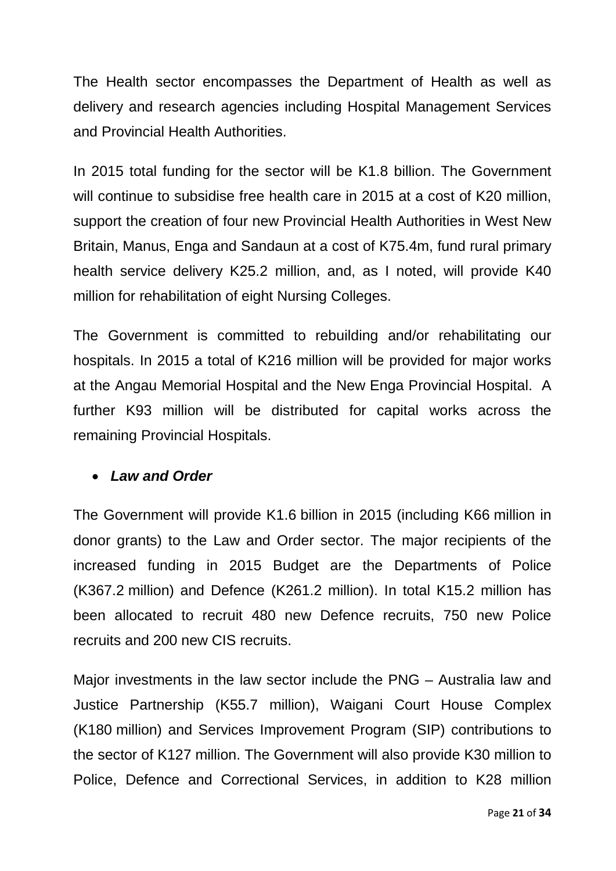The Health sector encompasses the Department of Health as well as delivery and research agencies including Hospital Management Services and Provincial Health Authorities.

In 2015 total funding for the sector will be K1.8 billion. The Government will continue to subsidise free health care in 2015 at a cost of K20 million, support the creation of four new Provincial Health Authorities in West New Britain, Manus, Enga and Sandaun at a cost of K75.4m, fund rural primary health service delivery K25.2 million, and, as I noted, will provide K40 million for rehabilitation of eight Nursing Colleges.

The Government is committed to rebuilding and/or rehabilitating our hospitals. In 2015 a total of K216 million will be provided for major works at the Angau Memorial Hospital and the New Enga Provincial Hospital. A further K93 million will be distributed for capital works across the remaining Provincial Hospitals.

#### • *Law and Order*

The Government will provide K1.6 billion in 2015 (including K66 million in donor grants) to the Law and Order sector. The major recipients of the increased funding in 2015 Budget are the Departments of Police (K367.2 million) and Defence (K261.2 million). In total K15.2 million has been allocated to recruit 480 new Defence recruits, 750 new Police recruits and 200 new CIS recruits.

Major investments in the law sector include the PNG – Australia law and Justice Partnership (K55.7 million), Waigani Court House Complex (K180 million) and Services Improvement Program (SIP) contributions to the sector of K127 million. The Government will also provide K30 million to Police, Defence and Correctional Services, in addition to K28 million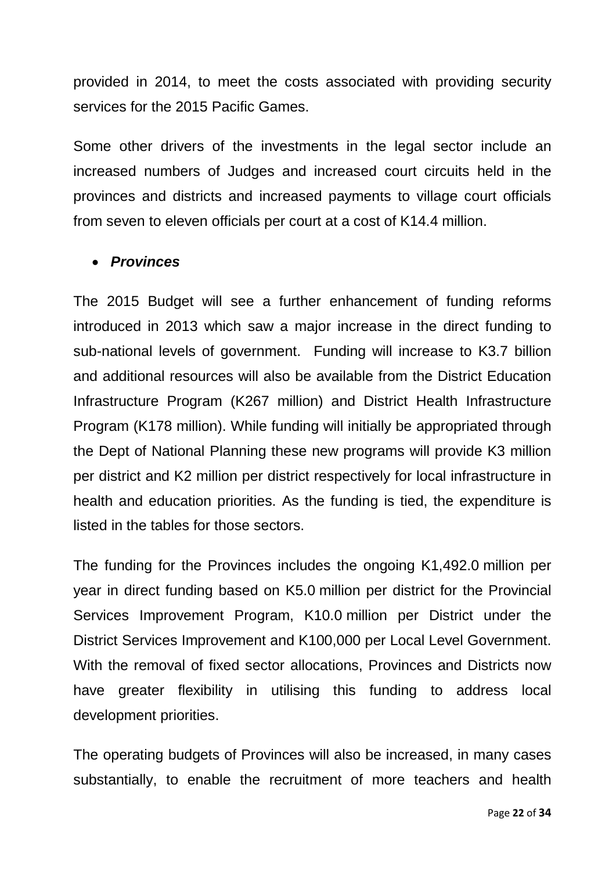provided in 2014, to meet the costs associated with providing security services for the 2015 Pacific Games.

Some other drivers of the investments in the legal sector include an increased numbers of Judges and increased court circuits held in the provinces and districts and increased payments to village court officials from seven to eleven officials per court at a cost of K14.4 million.

#### • *Provinces*

The 2015 Budget will see a further enhancement of funding reforms introduced in 2013 which saw a major increase in the direct funding to sub-national levels of government. Funding will increase to K3.7 billion and additional resources will also be available from the District Education Infrastructure Program (K267 million) and District Health Infrastructure Program (K178 million). While funding will initially be appropriated through the Dept of National Planning these new programs will provide K3 million per district and K2 million per district respectively for local infrastructure in health and education priorities. As the funding is tied, the expenditure is listed in the tables for those sectors.

The funding for the Provinces includes the ongoing K1,492.0 million per year in direct funding based on K5.0 million per district for the Provincial Services Improvement Program, K10.0 million per District under the District Services Improvement and K100,000 per Local Level Government. With the removal of fixed sector allocations, Provinces and Districts now have greater flexibility in utilising this funding to address local development priorities.

The operating budgets of Provinces will also be increased, in many cases substantially, to enable the recruitment of more teachers and health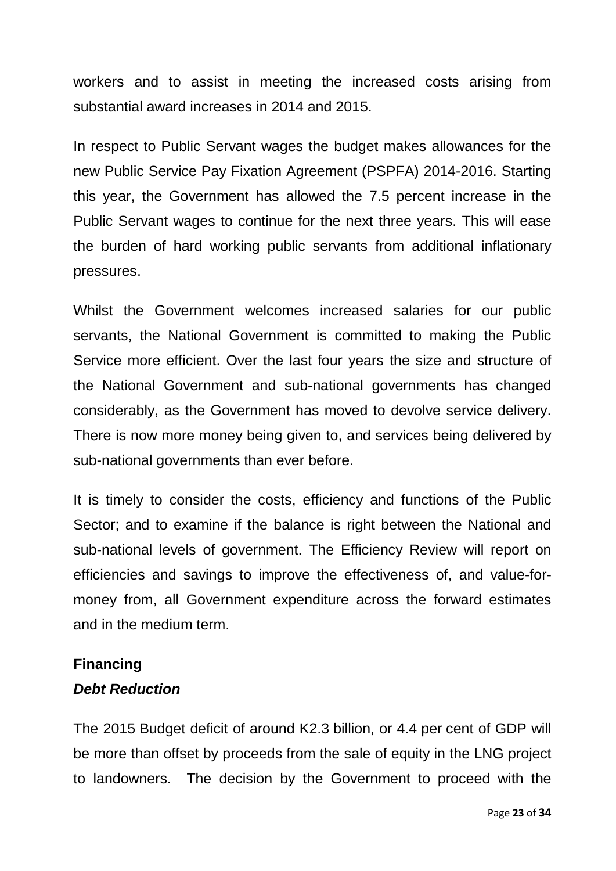workers and to assist in meeting the increased costs arising from substantial award increases in 2014 and 2015.

In respect to Public Servant wages the budget makes allowances for the new Public Service Pay Fixation Agreement (PSPFA) 2014-2016. Starting this year, the Government has allowed the 7.5 percent increase in the Public Servant wages to continue for the next three years. This will ease the burden of hard working public servants from additional inflationary pressures.

Whilst the Government welcomes increased salaries for our public servants, the National Government is committed to making the Public Service more efficient. Over the last four years the size and structure of the National Government and sub-national governments has changed considerably, as the Government has moved to devolve service delivery. There is now more money being given to, and services being delivered by sub-national governments than ever before.

It is timely to consider the costs, efficiency and functions of the Public Sector; and to examine if the balance is right between the National and sub-national levels of government. The Efficiency Review will report on efficiencies and savings to improve the effectiveness of, and value-formoney from, all Government expenditure across the forward estimates and in the medium term.

#### **Financing**

### *Debt Reduction*

The 2015 Budget deficit of around K2.3 billion, or 4.4 per cent of GDP will be more than offset by proceeds from the sale of equity in the LNG project to landowners. The decision by the Government to proceed with the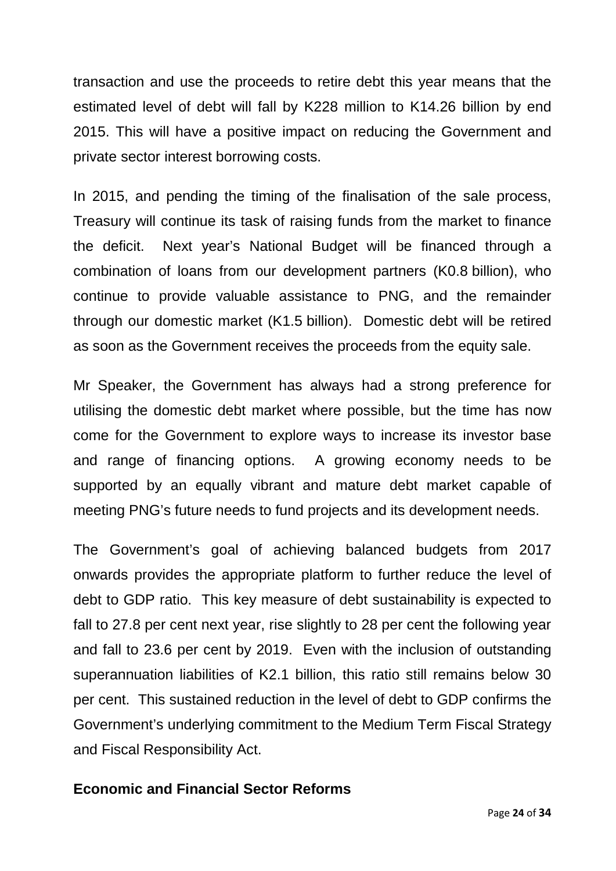transaction and use the proceeds to retire debt this year means that the estimated level of debt will fall by K228 million to K14.26 billion by end 2015. This will have a positive impact on reducing the Government and private sector interest borrowing costs.

In 2015, and pending the timing of the finalisation of the sale process, Treasury will continue its task of raising funds from the market to finance the deficit. Next year's National Budget will be financed through a combination of loans from our development partners (K0.8 billion), who continue to provide valuable assistance to PNG, and the remainder through our domestic market (K1.5 billion). Domestic debt will be retired as soon as the Government receives the proceeds from the equity sale.

Mr Speaker, the Government has always had a strong preference for utilising the domestic debt market where possible, but the time has now come for the Government to explore ways to increase its investor base and range of financing options. A growing economy needs to be supported by an equally vibrant and mature debt market capable of meeting PNG's future needs to fund projects and its development needs.

The Government's goal of achieving balanced budgets from 2017 onwards provides the appropriate platform to further reduce the level of debt to GDP ratio. This key measure of debt sustainability is expected to fall to 27.8 per cent next year, rise slightly to 28 per cent the following year and fall to 23.6 per cent by 2019. Even with the inclusion of outstanding superannuation liabilities of K2.1 billion, this ratio still remains below 30 per cent. This sustained reduction in the level of debt to GDP confirms the Government's underlying commitment to the Medium Term Fiscal Strategy and Fiscal Responsibility Act.

#### **Economic and Financial Sector Reforms**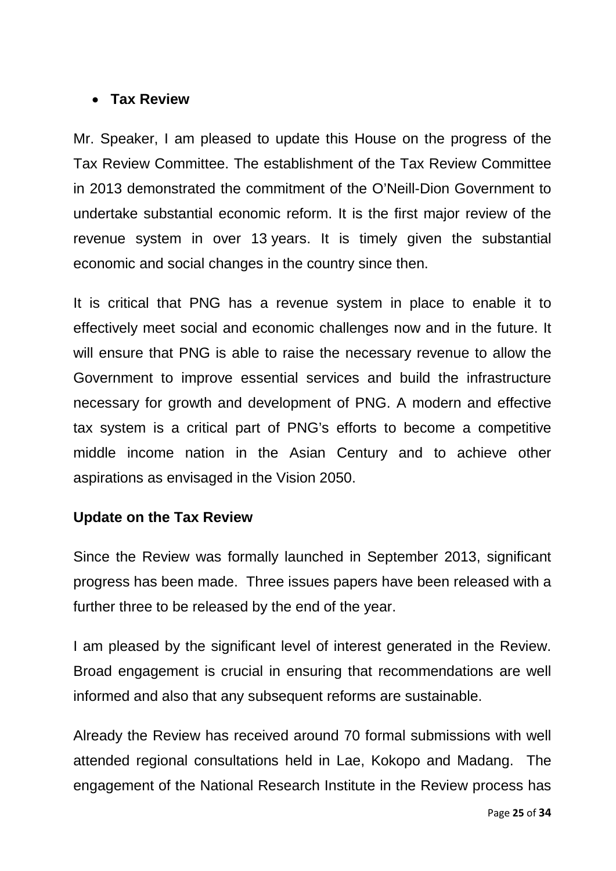#### • **Tax Review**

Mr. Speaker, I am pleased to update this House on the progress of the Tax Review Committee. The establishment of the Tax Review Committee in 2013 demonstrated the commitment of the O'Neill-Dion Government to undertake substantial economic reform. It is the first major review of the revenue system in over 13 years. It is timely given the substantial economic and social changes in the country since then.

It is critical that PNG has a revenue system in place to enable it to effectively meet social and economic challenges now and in the future. It will ensure that PNG is able to raise the necessary revenue to allow the Government to improve essential services and build the infrastructure necessary for growth and development of PNG. A modern and effective tax system is a critical part of PNG's efforts to become a competitive middle income nation in the Asian Century and to achieve other aspirations as envisaged in the Vision 2050.

### **Update on the Tax Review**

Since the Review was formally launched in September 2013, significant progress has been made. Three issues papers have been released with a further three to be released by the end of the year.

I am pleased by the significant level of interest generated in the Review. Broad engagement is crucial in ensuring that recommendations are well informed and also that any subsequent reforms are sustainable.

Already the Review has received around 70 formal submissions with well attended regional consultations held in Lae, Kokopo and Madang. The engagement of the National Research Institute in the Review process has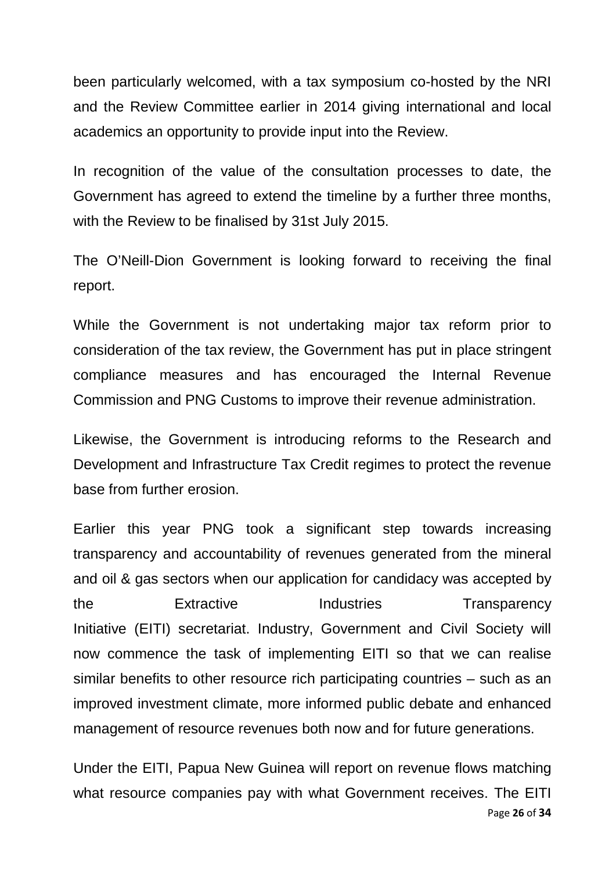been particularly welcomed, with a tax symposium co-hosted by the NRI and the Review Committee earlier in 2014 giving international and local academics an opportunity to provide input into the Review.

In recognition of the value of the consultation processes to date, the Government has agreed to extend the timeline by a further three months, with the Review to be finalised by 31st July 2015.

The O'Neill-Dion Government is looking forward to receiving the final report.

While the Government is not undertaking major tax reform prior to consideration of the tax review, the Government has put in place stringent compliance measures and has encouraged the Internal Revenue Commission and PNG Customs to improve their revenue administration.

Likewise, the Government is introducing reforms to the Research and Development and Infrastructure Tax Credit regimes to protect the revenue base from further erosion.

Earlier this year PNG took a significant step towards increasing transparency and accountability of revenues generated from the mineral and oil & gas sectors when our application for candidacy was accepted by the Extractive Industries Transparency Initiative (EITI) secretariat. Industry, Government and Civil Society will now commence the task of implementing EITI so that we can realise similar benefits to other resource rich participating countries – such as an improved investment climate, more informed public debate and enhanced management of resource revenues both now and for future generations.

Page **26** of **34** Under the EITI, Papua New Guinea will report on revenue flows matching what resource companies pay with what Government receives. The EITI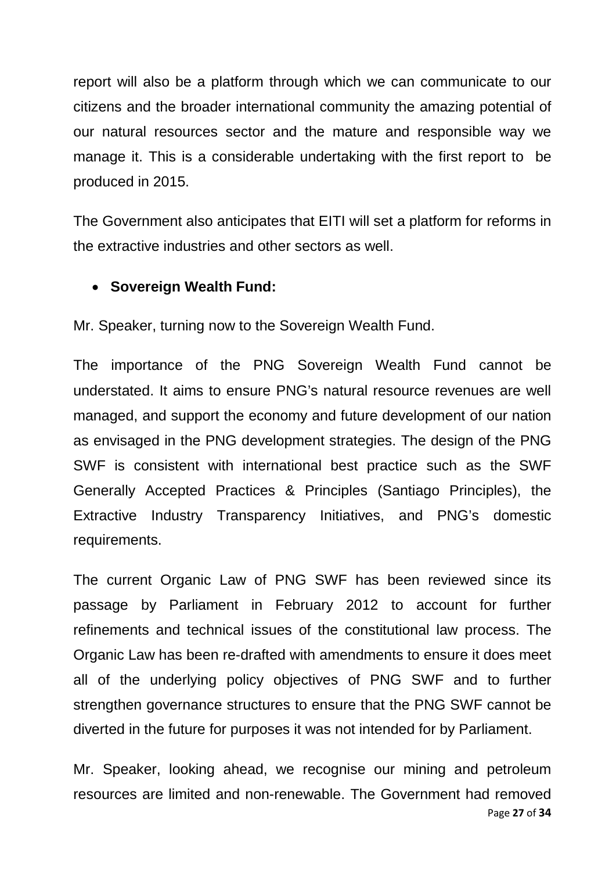report will also be a platform through which we can communicate to our citizens and the broader international community the amazing potential of our natural resources sector and the mature and responsible way we manage it. This is a considerable undertaking with the first report to be produced in 2015.

The Government also anticipates that EITI will set a platform for reforms in the extractive industries and other sectors as well.

### • **Sovereign Wealth Fund:**

Mr. Speaker, turning now to the Sovereign Wealth Fund.

The importance of the PNG Sovereign Wealth Fund cannot be understated. It aims to ensure PNG's natural resource revenues are well managed, and support the economy and future development of our nation as envisaged in the PNG development strategies. The design of the PNG SWF is consistent with international best practice such as the SWF Generally Accepted Practices & Principles (Santiago Principles), the Extractive Industry Transparency Initiatives, and PNG's domestic requirements.

The current Organic Law of PNG SWF has been reviewed since its passage by Parliament in February 2012 to account for further refinements and technical issues of the constitutional law process. The Organic Law has been re-drafted with amendments to ensure it does meet all of the underlying policy objectives of PNG SWF and to further strengthen governance structures to ensure that the PNG SWF cannot be diverted in the future for purposes it was not intended for by Parliament.

Page **27** of **34** Mr. Speaker, looking ahead, we recognise our mining and petroleum resources are limited and non-renewable. The Government had removed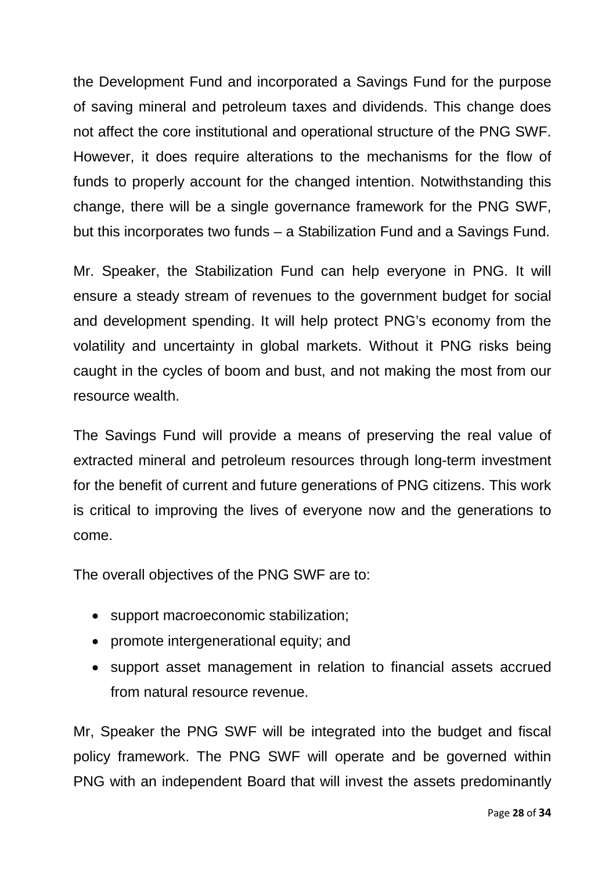the Development Fund and incorporated a Savings Fund for the purpose of saving mineral and petroleum taxes and dividends. This change does not affect the core institutional and operational structure of the PNG SWF. However, it does require alterations to the mechanisms for the flow of funds to properly account for the changed intention. Notwithstanding this change, there will be a single governance framework for the PNG SWF, but this incorporates two funds – a Stabilization Fund and a Savings Fund.

Mr. Speaker, the Stabilization Fund can help everyone in PNG. It will ensure a steady stream of revenues to the government budget for social and development spending. It will help protect PNG's economy from the volatility and uncertainty in global markets. Without it PNG risks being caught in the cycles of boom and bust, and not making the most from our resource wealth.

The Savings Fund will provide a means of preserving the real value of extracted mineral and petroleum resources through long-term investment for the benefit of current and future generations of PNG citizens. This work is critical to improving the lives of everyone now and the generations to come.

The overall objectives of the PNG SWF are to:

- support macroeconomic stabilization;
- promote intergenerational equity; and
- support asset management in relation to financial assets accrued from natural resource revenue.

Mr, Speaker the PNG SWF will be integrated into the budget and fiscal policy framework. The PNG SWF will operate and be governed within PNG with an independent Board that will invest the assets predominantly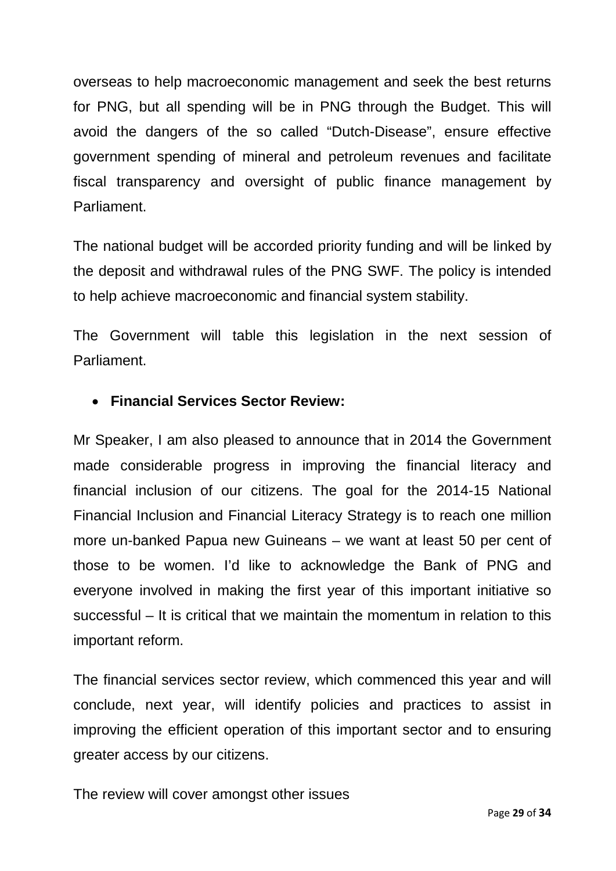overseas to help macroeconomic management and seek the best returns for PNG, but all spending will be in PNG through the Budget. This will avoid the dangers of the so called "Dutch-Disease", ensure effective government spending of mineral and petroleum revenues and facilitate fiscal transparency and oversight of public finance management by Parliament.

The national budget will be accorded priority funding and will be linked by the deposit and withdrawal rules of the PNG SWF. The policy is intended to help achieve macroeconomic and financial system stability.

The Government will table this legislation in the next session of Parliament.

### • **Financial Services Sector Review:**

Mr Speaker, I am also pleased to announce that in 2014 the Government made considerable progress in improving the financial literacy and financial inclusion of our citizens. The goal for the 2014-15 National Financial Inclusion and Financial Literacy Strategy is to reach one million more un-banked Papua new Guineans – we want at least 50 per cent of those to be women. I'd like to acknowledge the Bank of PNG and everyone involved in making the first year of this important initiative so successful – It is critical that we maintain the momentum in relation to this important reform.

The financial services sector review, which commenced this year and will conclude, next year, will identify policies and practices to assist in improving the efficient operation of this important sector and to ensuring greater access by our citizens.

The review will cover amongst other issues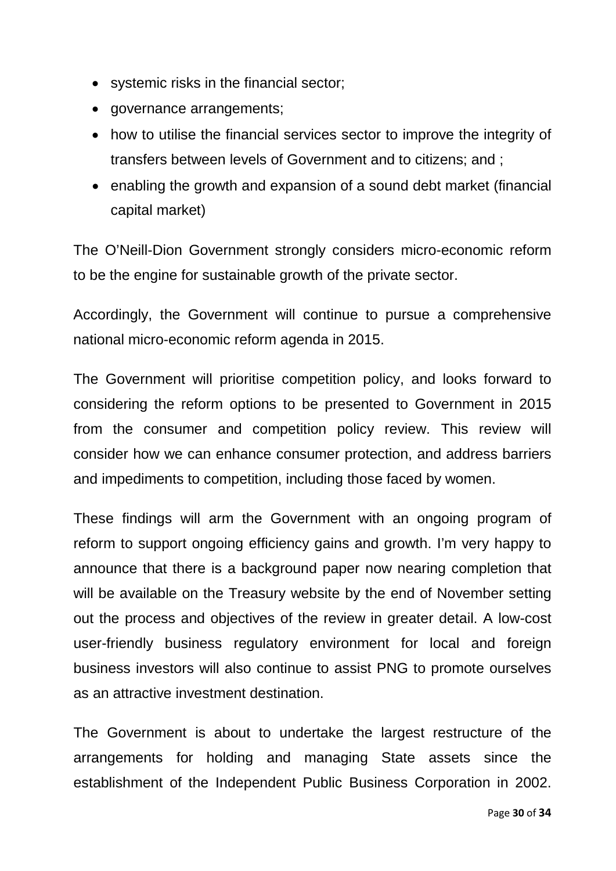- systemic risks in the financial sector;
- governance arrangements;
- how to utilise the financial services sector to improve the integrity of transfers between levels of Government and to citizens; and ;
- enabling the growth and expansion of a sound debt market (financial capital market)

The O'Neill-Dion Government strongly considers micro-economic reform to be the engine for sustainable growth of the private sector.

Accordingly, the Government will continue to pursue a comprehensive national micro-economic reform agenda in 2015.

The Government will prioritise competition policy, and looks forward to considering the reform options to be presented to Government in 2015 from the consumer and competition policy review. This review will consider how we can enhance consumer protection, and address barriers and impediments to competition, including those faced by women.

These findings will arm the Government with an ongoing program of reform to support ongoing efficiency gains and growth. I'm very happy to announce that there is a background paper now nearing completion that will be available on the Treasury website by the end of November setting out the process and objectives of the review in greater detail. A low-cost user-friendly business regulatory environment for local and foreign business investors will also continue to assist PNG to promote ourselves as an attractive investment destination.

The Government is about to undertake the largest restructure of the arrangements for holding and managing State assets since the establishment of the Independent Public Business Corporation in 2002.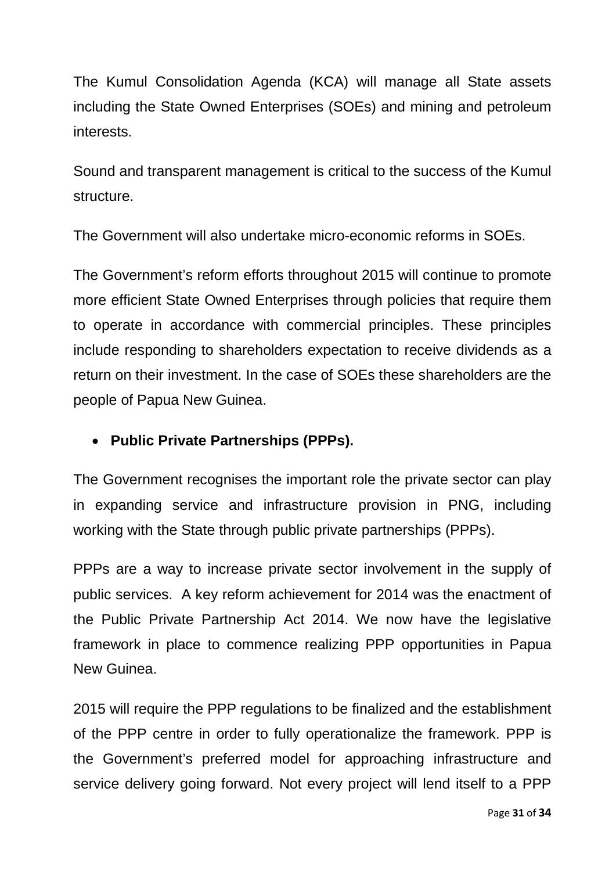The Kumul Consolidation Agenda (KCA) will manage all State assets including the State Owned Enterprises (SOEs) and mining and petroleum interests.

Sound and transparent management is critical to the success of the Kumul structure.

The Government will also undertake micro-economic reforms in SOEs.

The Government's reform efforts throughout 2015 will continue to promote more efficient State Owned Enterprises through policies that require them to operate in accordance with commercial principles. These principles include responding to shareholders expectation to receive dividends as a return on their investment. In the case of SOEs these shareholders are the people of Papua New Guinea.

### • **Public Private Partnerships (PPPs).**

The Government recognises the important role the private sector can play in expanding service and infrastructure provision in PNG, including working with the State through public private partnerships (PPPs).

PPPs are a way to increase private sector involvement in the supply of public services. A key reform achievement for 2014 was the enactment of the Public Private Partnership Act 2014. We now have the legislative framework in place to commence realizing PPP opportunities in Papua New Guinea.

2015 will require the PPP regulations to be finalized and the establishment of the PPP centre in order to fully operationalize the framework. PPP is the Government's preferred model for approaching infrastructure and service delivery going forward. Not every project will lend itself to a PPP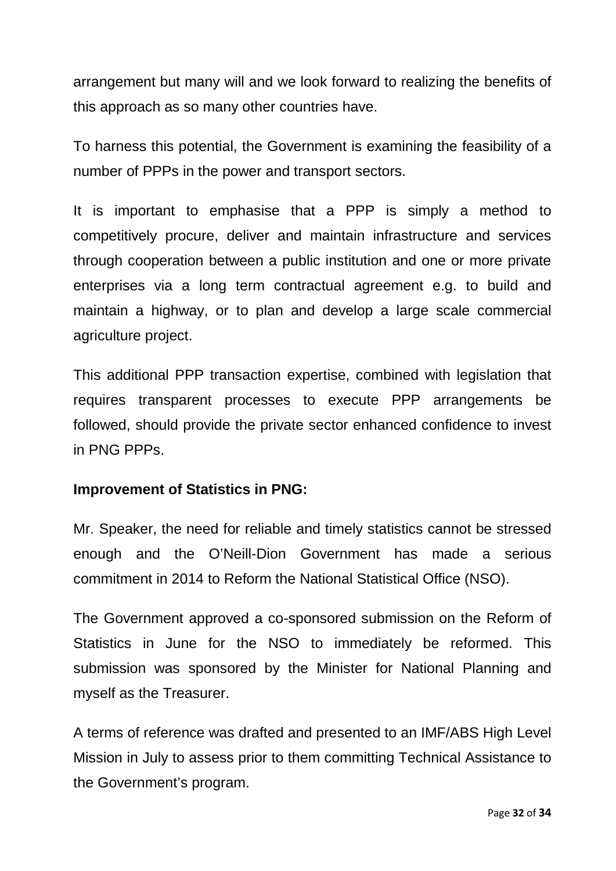arrangement but many will and we look forward to realizing the benefits of this approach as so many other countries have.

To harness this potential, the Government is examining the feasibility of a number of PPPs in the power and transport sectors.

It is important to emphasise that a PPP is simply a method to competitively procure, deliver and maintain infrastructure and services through cooperation between a public institution and one or more private enterprises via a long term contractual agreement e.g. to build and maintain a highway, or to plan and develop a large scale commercial agriculture project.

This additional PPP transaction expertise, combined with legislation that requires transparent processes to execute PPP arrangements be followed, should provide the private sector enhanced confidence to invest in PNG PPPs.

#### **Improvement of Statistics in PNG:**

Mr. Speaker, the need for reliable and timely statistics cannot be stressed enough and the O'Neill-Dion Government has made a serious commitment in 2014 to Reform the National Statistical Office (NSO).

The Government approved a co-sponsored submission on the Reform of Statistics in June for the NSO to immediately be reformed. This submission was sponsored by the Minister for National Planning and myself as the Treasurer.

A terms of reference was drafted and presented to an IMF/ABS High Level Mission in July to assess prior to them committing Technical Assistance to the Government's program.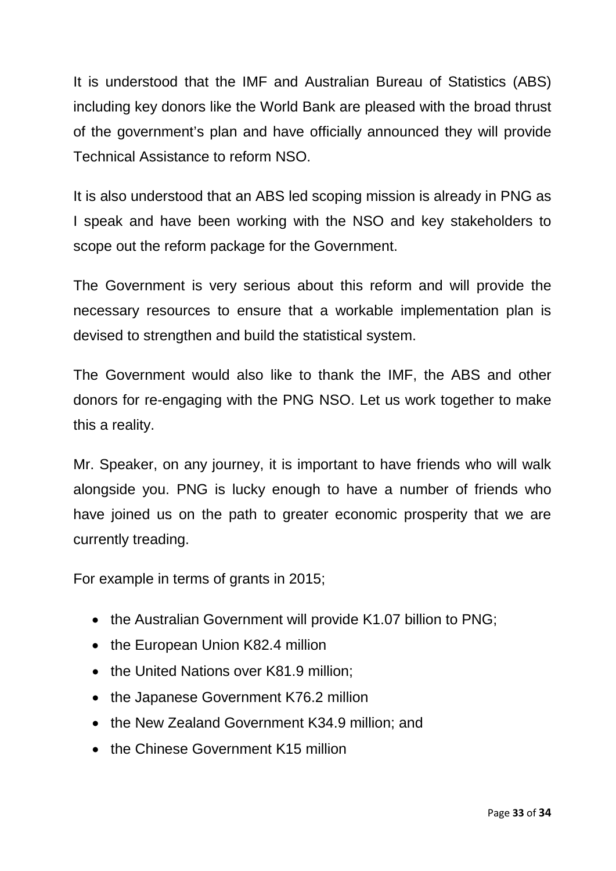It is understood that the IMF and Australian Bureau of Statistics (ABS) including key donors like the World Bank are pleased with the broad thrust of the government's plan and have officially announced they will provide Technical Assistance to reform NSO.

It is also understood that an ABS led scoping mission is already in PNG as I speak and have been working with the NSO and key stakeholders to scope out the reform package for the Government.

The Government is very serious about this reform and will provide the necessary resources to ensure that a workable implementation plan is devised to strengthen and build the statistical system.

The Government would also like to thank the IMF, the ABS and other donors for re-engaging with the PNG NSO. Let us work together to make this a reality.

Mr. Speaker, on any journey, it is important to have friends who will walk alongside you. PNG is lucky enough to have a number of friends who have joined us on the path to greater economic prosperity that we are currently treading.

For example in terms of grants in 2015;

- the Australian Government will provide K1.07 billion to PNG;
- the European Union K82.4 million
- the United Nations over K81.9 million;
- the Japanese Government K76.2 million
- the New Zealand Government K34.9 million; and
- the Chinese Government K15 million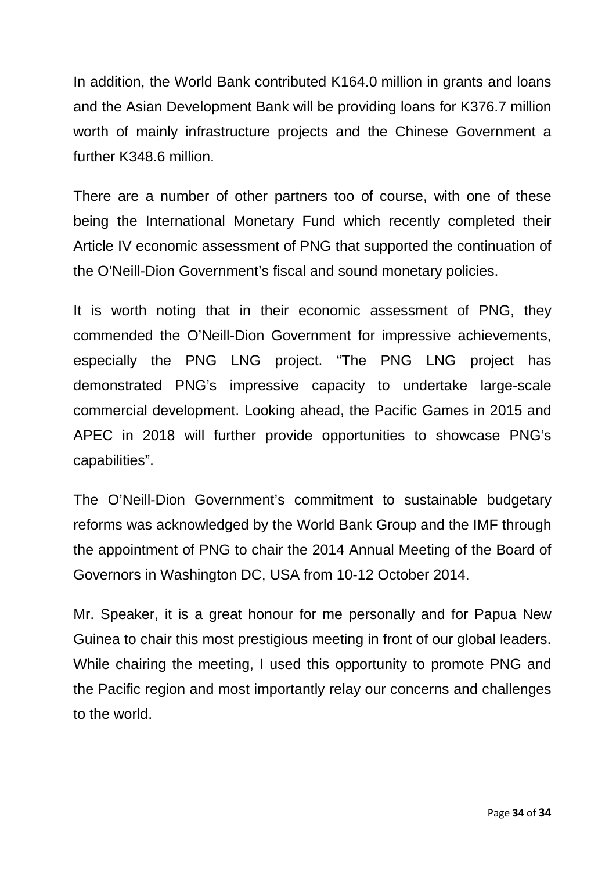In addition, the World Bank contributed K164.0 million in grants and loans and the Asian Development Bank will be providing loans for K376.7 million worth of mainly infrastructure projects and the Chinese Government a further K348.6 million.

There are a number of other partners too of course, with one of these being the International Monetary Fund which recently completed their Article IV economic assessment of PNG that supported the continuation of the O'Neill-Dion Government's fiscal and sound monetary policies.

It is worth noting that in their economic assessment of PNG, they commended the O'Neill-Dion Government for impressive achievements, especially the PNG LNG project. "The PNG LNG project has demonstrated PNG's impressive capacity to undertake large-scale commercial development. Looking ahead, the Pacific Games in 2015 and APEC in 2018 will further provide opportunities to showcase PNG's capabilities".

The O'Neill-Dion Government's commitment to sustainable budgetary reforms was acknowledged by the World Bank Group and the IMF through the appointment of PNG to chair the 2014 Annual Meeting of the Board of Governors in Washington DC, USA from 10-12 October 2014.

Mr. Speaker, it is a great honour for me personally and for Papua New Guinea to chair this most prestigious meeting in front of our global leaders. While chairing the meeting, I used this opportunity to promote PNG and the Pacific region and most importantly relay our concerns and challenges to the world.